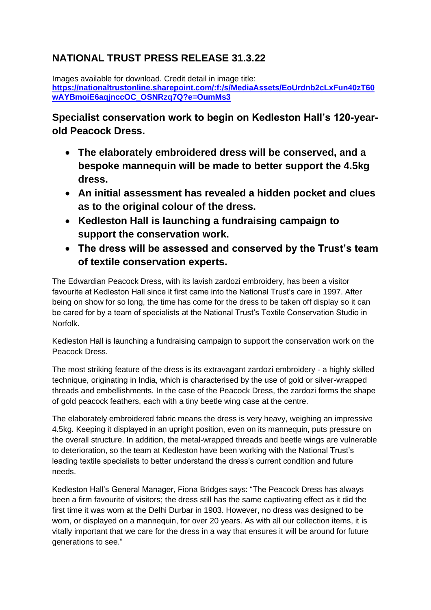# **NATIONAL TRUST PRESS RELEASE 31.3.22**

Images available for download. Credit detail in image title: **[https://nationaltrustonline.sharepoint.com/:f:/s/MediaAssets/EoUrdnb2cLxFun40zT60](https://nationaltrustonline.sharepoint.com/:f:/s/MediaAssets/EoUrdnb2cLxFun40zT60wAYBmoiE6aqjnccOC_OSNRzq7Q?e=OumMs3) [wAYBmoiE6aqjnccOC\\_OSNRzq7Q?e=OumMs3](https://nationaltrustonline.sharepoint.com/:f:/s/MediaAssets/EoUrdnb2cLxFun40zT60wAYBmoiE6aqjnccOC_OSNRzq7Q?e=OumMs3)**

**Specialist conservation work to begin on Kedleston Hall's 120-yearold Peacock Dress.**

- **The elaborately embroidered dress will be conserved, and a bespoke mannequin will be made to better support the 4.5kg dress.**
- **An initial assessment has revealed a hidden pocket and clues as to the original colour of the dress.**
- **Kedleston Hall is launching a fundraising campaign to support the conservation work.**
- **The dress will be assessed and conserved by the Trust's team of textile conservation experts.**

The Edwardian Peacock Dress, with its lavish zardozi embroidery, has been a visitor favourite at Kedleston Hall since it first came into the National Trust's care in 1997. After being on show for so long, the time has come for the dress to be taken off display so it can be cared for by a team of specialists at the National Trust's Textile Conservation Studio in Norfolk.

Kedleston Hall is launching a fundraising campaign to support the conservation work on the Peacock Dress.

The most striking feature of the dress is its extravagant zardozi embroidery - a highly skilled technique, originating in India, which is characterised by the use of gold or silver-wrapped threads and embellishments. In the case of the Peacock Dress, the zardozi forms the shape of gold peacock feathers, each with a tiny beetle wing case at the centre.

The elaborately embroidered fabric means the dress is very heavy, weighing an impressive 4.5kg. Keeping it displayed in an upright position, even on its mannequin, puts pressure on the overall structure. In addition, the metal-wrapped threads and beetle wings are vulnerable to deterioration, so the team at Kedleston have been working with the National Trust's leading textile specialists to better understand the dress's current condition and future needs.

Kedleston Hall's General Manager, Fiona Bridges says: "The Peacock Dress has always been a firm favourite of visitors; the dress still has the same captivating effect as it did the first time it was worn at the Delhi Durbar in 1903. However, no dress was designed to be worn, or displayed on a mannequin, for over 20 years. As with all our collection items, it is vitally important that we care for the dress in a way that ensures it will be around for future generations to see."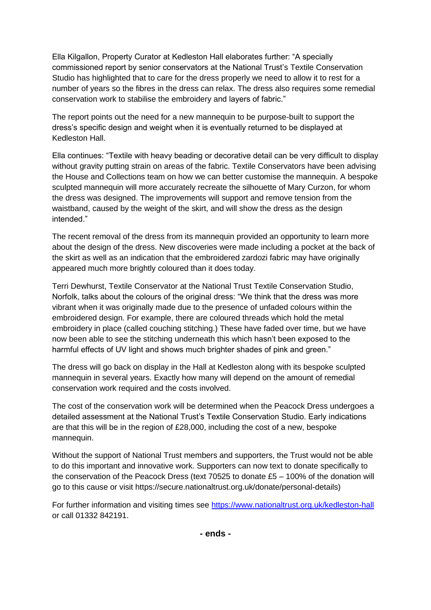Ella Kilgallon, Property Curator at Kedleston Hall elaborates further: "A specially commissioned report by senior conservators at the National Trust's Textile Conservation Studio has highlighted that to care for the dress properly we need to allow it to rest for a number of years so the fibres in the dress can relax. The dress also requires some remedial conservation work to stabilise the embroidery and layers of fabric."

The report points out the need for a new mannequin to be purpose-built to support the dress's specific design and weight when it is eventually returned to be displayed at Kedleston Hall.

Ella continues: "Textile with heavy beading or decorative detail can be very difficult to display without gravity putting strain on areas of the fabric. Textile Conservators have been advising the House and Collections team on how we can better customise the mannequin. A bespoke sculpted mannequin will more accurately recreate the silhouette of Mary Curzon, for whom the dress was designed. The improvements will support and remove tension from the waistband, caused by the weight of the skirt, and will show the dress as the design intended."

The recent removal of the dress from its mannequin provided an opportunity to learn more about the design of the dress. New discoveries were made including a pocket at the back of the skirt as well as an indication that the embroidered zardozi fabric may have originally appeared much more brightly coloured than it does today.

Terri Dewhurst, Textile Conservator at the National Trust Textile Conservation Studio, Norfolk, talks about the colours of the original dress: "We think that the dress was more vibrant when it was originally made due to the presence of unfaded colours within the embroidered design. For example, there are coloured threads which hold the metal embroidery in place (called couching stitching.) These have faded over time, but we have now been able to see the stitching underneath this which hasn't been exposed to the harmful effects of UV light and shows much brighter shades of pink and green."

The dress will go back on display in the Hall at Kedleston along with its bespoke sculpted mannequin in several years. Exactly how many will depend on the amount of remedial conservation work required and the costs involved.

The cost of the conservation work will be determined when the Peacock Dress undergoes a detailed assessment at the National Trust's Textile Conservation Studio. Early indications are that this will be in the region of £28,000, including the cost of a new, bespoke mannequin.

Without the support of National Trust members and supporters, the Trust would not be able to do this important and innovative work. Supporters can now text to donate specifically to the conservation of the Peacock Dress (text 70525 to donate £5 – 100% of the donation will go to this cause or visit https://secure.nationaltrust.org.uk/donate/personal-details)

For further information and visiting times see<https://www.nationaltrust.org.uk/kedleston-hall> or call 01332 842191.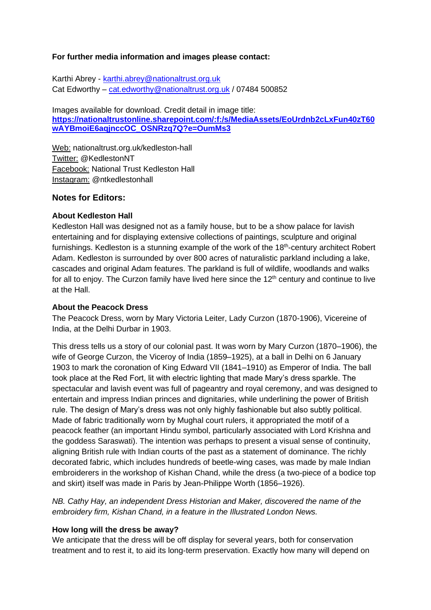### **For further media information and images please contact:**

Karthi Abrey - [karthi.abrey@nationaltrust.org.uk](mailto:karthi.abrey@nationaltrust.org.uk) Cat Edworthy – [cat.edworthy@nationaltrust.org.uk](mailto:cat.edworthy@nationaltrust.org.uk%20/%2007484) / 07484 500852

Images available for download. Credit detail in image title: **[https://nationaltrustonline.sharepoint.com/:f:/s/MediaAssets/EoUrdnb2cLxFun40zT60](https://nationaltrustonline.sharepoint.com/:f:/s/MediaAssets/EoUrdnb2cLxFun40zT60wAYBmoiE6aqjnccOC_OSNRzq7Q?e=OumMs3) [wAYBmoiE6aqjnccOC\\_OSNRzq7Q?e=OumMs3](https://nationaltrustonline.sharepoint.com/:f:/s/MediaAssets/EoUrdnb2cLxFun40zT60wAYBmoiE6aqjnccOC_OSNRzq7Q?e=OumMs3)**

Web: nationaltrust.org.uk/kedleston-hall Twitter: @KedlestonNT Facebook: National Trust Kedleston Hall Instagram: @ntkedlestonhall

# **Notes for Editors:**

# **About Kedleston Hall**

Kedleston Hall was designed not as a family house, but to be a show palace for lavish entertaining and for displaying extensive collections of paintings, sculpture and original furnishings. Kedleston is a stunning example of the work of the 18<sup>th</sup>-century architect Robert Adam. Kedleston is surrounded by over 800 acres of naturalistic parkland including a lake, cascades and original Adam features. The parkland is full of wildlife, woodlands and walks for all to enjoy. The Curzon family have lived here since the  $12<sup>th</sup>$  century and continue to live at the Hall.

#### **About the Peacock Dress**

The Peacock Dress, worn by Mary Victoria Leiter, Lady Curzon (1870-1906), Vicereine of India, at the Delhi Durbar in 1903.

This dress tells us a story of our colonial past. It was worn by Mary Curzon (1870–1906), the wife of George Curzon, the Viceroy of India (1859–1925), at a ball in Delhi on 6 January 1903 to mark the coronation of King Edward VII (1841–1910) as Emperor of India. The ball took place at the Red Fort, lit with electric lighting that made Mary's dress sparkle. The spectacular and lavish event was full of pageantry and royal ceremony, and was designed to entertain and impress Indian princes and dignitaries, while underlining the power of British rule. The design of Mary's dress was not only highly fashionable but also subtly political. Made of fabric traditionally worn by Mughal court rulers, it appropriated the motif of a peacock feather (an important Hindu symbol, particularly associated with Lord Krishna and the goddess Saraswati). The intention was perhaps to present a visual sense of continuity, aligning British rule with Indian courts of the past as a statement of dominance. The richly decorated fabric, which includes hundreds of beetle-wing cases, was made by male Indian embroiderers in the workshop of Kishan Chand, while the dress (a two-piece of a bodice top and skirt) itself was made in Paris by Jean-Philippe Worth (1856–1926).

*NB. Cathy Hay, an independent Dress Historian and Maker, discovered the name of the embroidery firm, Kishan Chand, in a feature in the Illustrated London News.*

#### **How long will the dress be away?**

We anticipate that the dress will be off display for several years, both for conservation treatment and to rest it, to aid its long-term preservation. Exactly how many will depend on